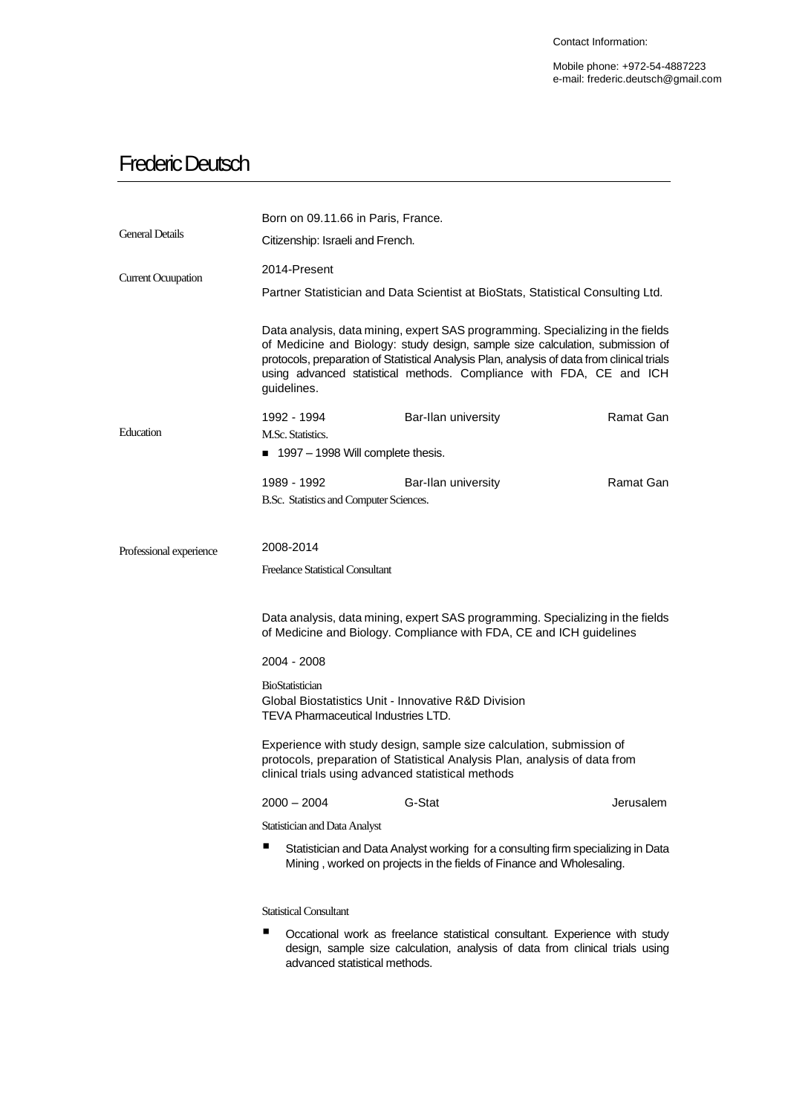Mobile phone: +972-54-4887223 e-mail: frederic.deutsch@gmail.com

## Frederic Deutsch

|                           | Born on 09.11.66 in Paris, France.                                                                                                                                                                                                                                                                                                                  |                     |           |  |  |
|---------------------------|-----------------------------------------------------------------------------------------------------------------------------------------------------------------------------------------------------------------------------------------------------------------------------------------------------------------------------------------------------|---------------------|-----------|--|--|
| <b>General Details</b>    | Citizenship: Israeli and French.                                                                                                                                                                                                                                                                                                                    |                     |           |  |  |
| <b>Current Ocuupation</b> | 2014-Present                                                                                                                                                                                                                                                                                                                                        |                     |           |  |  |
|                           | Partner Statistician and Data Scientist at BioStats, Statistical Consulting Ltd.                                                                                                                                                                                                                                                                    |                     |           |  |  |
|                           | Data analysis, data mining, expert SAS programming. Specializing in the fields<br>of Medicine and Biology: study design, sample size calculation, submission of<br>protocols, preparation of Statistical Analysis Plan, analysis of data from clinical trials<br>using advanced statistical methods. Compliance with FDA, CE and ICH<br>guidelines. |                     |           |  |  |
| Education                 | 1992 - 1994                                                                                                                                                                                                                                                                                                                                         | Bar-Ilan university | Ramat Gan |  |  |
|                           | M.Sc. Statistics.                                                                                                                                                                                                                                                                                                                                   |                     |           |  |  |
|                           | ■ 1997 - 1998 Will complete thesis.                                                                                                                                                                                                                                                                                                                 |                     |           |  |  |
|                           | 1989 - 1992                                                                                                                                                                                                                                                                                                                                         | Bar-Ilan university | Ramat Gan |  |  |
|                           | B.Sc. Statistics and Computer Sciences.                                                                                                                                                                                                                                                                                                             |                     |           |  |  |
| Professional experience   | 2008-2014                                                                                                                                                                                                                                                                                                                                           |                     |           |  |  |
|                           | Freelance Statistical Consultant                                                                                                                                                                                                                                                                                                                    |                     |           |  |  |
|                           | Data analysis, data mining, expert SAS programming. Specializing in the fields<br>of Medicine and Biology. Compliance with FDA, CE and ICH guidelines<br>2004 - 2008                                                                                                                                                                                |                     |           |  |  |
|                           | <b>BioStatistician</b>                                                                                                                                                                                                                                                                                                                              |                     |           |  |  |
|                           | Global Biostatistics Unit - Innovative R&D Division<br>TEVA Pharmaceutical Industries LTD.                                                                                                                                                                                                                                                          |                     |           |  |  |
|                           | Experience with study design, sample size calculation, submission of<br>protocols, preparation of Statistical Analysis Plan, analysis of data from<br>clinical trials using advanced statistical methods                                                                                                                                            |                     |           |  |  |
|                           | 2000 – 2004                                                                                                                                                                                                                                                                                                                                         | G-Stat              | Jerusalem |  |  |
|                           | Statistician and Data Analyst                                                                                                                                                                                                                                                                                                                       |                     |           |  |  |
|                           | Statistician and Data Analyst working for a consulting firm specializing in Data<br>Mining, worked on projects in the fields of Finance and Wholesaling.                                                                                                                                                                                            |                     |           |  |  |
|                           | <b>Statistical Consultant</b>                                                                                                                                                                                                                                                                                                                       |                     |           |  |  |
|                           | ш<br>Occational work as freelance statistical consultant. Experience with study<br>design, sample size calculation, analysis of data from clinical trials using<br>advanced statistical methods.                                                                                                                                                    |                     |           |  |  |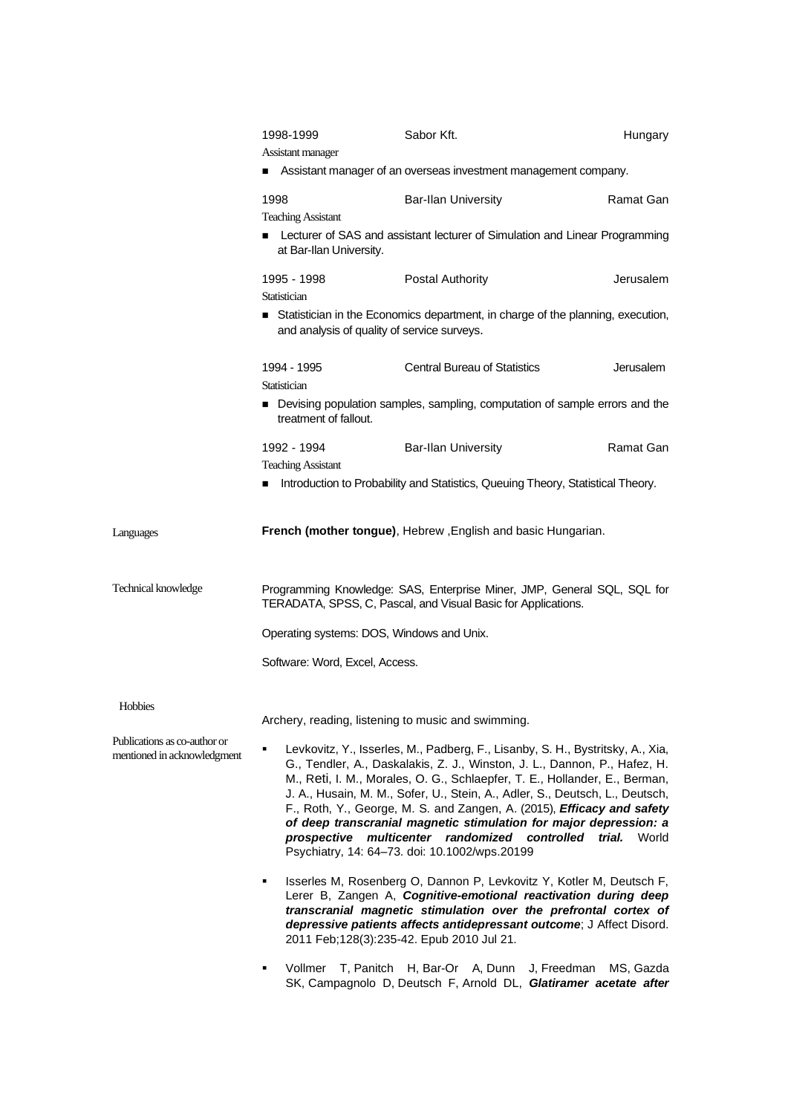|                                                             | 1998-1999<br>Assistant manager                                                                                                                                                                                                                                                                                                                                                                                                                                                                                                                                                                 | Sabor Kft.                                                                                                                                                                                                                                                                                                                        | Hungary   |  |
|-------------------------------------------------------------|------------------------------------------------------------------------------------------------------------------------------------------------------------------------------------------------------------------------------------------------------------------------------------------------------------------------------------------------------------------------------------------------------------------------------------------------------------------------------------------------------------------------------------------------------------------------------------------------|-----------------------------------------------------------------------------------------------------------------------------------------------------------------------------------------------------------------------------------------------------------------------------------------------------------------------------------|-----------|--|
|                                                             |                                                                                                                                                                                                                                                                                                                                                                                                                                                                                                                                                                                                | Assistant manager of an overseas investment management company.                                                                                                                                                                                                                                                                   |           |  |
|                                                             | 1998<br><b>Teaching Assistant</b>                                                                                                                                                                                                                                                                                                                                                                                                                                                                                                                                                              | <b>Bar-Ilan University</b>                                                                                                                                                                                                                                                                                                        | Ramat Gan |  |
|                                                             | <b>EXECUTED EXECUTE:</b> Lecturer of Simulation and Linear Programming<br>at Bar-Ilan University.                                                                                                                                                                                                                                                                                                                                                                                                                                                                                              |                                                                                                                                                                                                                                                                                                                                   |           |  |
|                                                             | 1995 - 1998<br>Statistician                                                                                                                                                                                                                                                                                                                                                                                                                                                                                                                                                                    | <b>Postal Authority</b>                                                                                                                                                                                                                                                                                                           | Jerusalem |  |
|                                                             | Statistician in the Economics department, in charge of the planning, execution,<br>and analysis of quality of service surveys.                                                                                                                                                                                                                                                                                                                                                                                                                                                                 |                                                                                                                                                                                                                                                                                                                                   |           |  |
|                                                             | 1994 - 1995<br>Statistician                                                                                                                                                                                                                                                                                                                                                                                                                                                                                                                                                                    | <b>Central Bureau of Statistics</b>                                                                                                                                                                                                                                                                                               | Jerusalem |  |
|                                                             | Devising population samples, sampling, computation of sample errors and the<br>treatment of fallout.                                                                                                                                                                                                                                                                                                                                                                                                                                                                                           |                                                                                                                                                                                                                                                                                                                                   |           |  |
|                                                             | 1992 - 1994<br><b>Teaching Assistant</b>                                                                                                                                                                                                                                                                                                                                                                                                                                                                                                                                                       | <b>Bar-Ilan University</b>                                                                                                                                                                                                                                                                                                        | Ramat Gan |  |
|                                                             | ■                                                                                                                                                                                                                                                                                                                                                                                                                                                                                                                                                                                              | Introduction to Probability and Statistics, Queuing Theory, Statistical Theory.                                                                                                                                                                                                                                                   |           |  |
| Languages                                                   |                                                                                                                                                                                                                                                                                                                                                                                                                                                                                                                                                                                                | French (mother tongue), Hebrew, English and basic Hungarian.                                                                                                                                                                                                                                                                      |           |  |
| Technical knowledge                                         | Programming Knowledge: SAS, Enterprise Miner, JMP, General SQL, SQL for<br>TERADATA, SPSS, C, Pascal, and Visual Basic for Applications.                                                                                                                                                                                                                                                                                                                                                                                                                                                       |                                                                                                                                                                                                                                                                                                                                   |           |  |
|                                                             | Operating systems: DOS, Windows and Unix.                                                                                                                                                                                                                                                                                                                                                                                                                                                                                                                                                      |                                                                                                                                                                                                                                                                                                                                   |           |  |
|                                                             | Software: Word, Excel, Access.                                                                                                                                                                                                                                                                                                                                                                                                                                                                                                                                                                 |                                                                                                                                                                                                                                                                                                                                   |           |  |
| Hobbies                                                     |                                                                                                                                                                                                                                                                                                                                                                                                                                                                                                                                                                                                | Archery, reading, listening to music and swimming.                                                                                                                                                                                                                                                                                |           |  |
| Publications as co-author or<br>mentioned in acknowledgment | Levkovitz, Y., Isserles, M., Padberg, F., Lisanby, S. H., Bystritsky, A., Xia,<br>G., Tendler, A., Daskalakis, Z. J., Winston, J. L., Dannon, P., Hafez, H.<br>M., Reti, I. M., Morales, O. G., Schlaepfer, T. E., Hollander, E., Berman,<br>J. A., Husain, M. M., Sofer, U., Stein, A., Adler, S., Deutsch, L., Deutsch,<br>F., Roth, Y., George, M. S. and Zangen, A. (2015), <i>Efficacy and safety</i><br>of deep transcranial magnetic stimulation for major depression: a<br>prospective multicenter randomized controlled trial. World<br>Psychiatry, 14: 64-73. doi: 10.1002/wps.20199 |                                                                                                                                                                                                                                                                                                                                   |           |  |
|                                                             | ٠                                                                                                                                                                                                                                                                                                                                                                                                                                                                                                                                                                                              | Isserles M, Rosenberg O, Dannon P, Levkovitz Y, Kotler M, Deutsch F,<br>Lerer B, Zangen A, Cognitive-emotional reactivation during deep<br>transcranial magnetic stimulation over the prefrontal cortex of<br>depressive patients affects antidepressant outcome; J Affect Disord.<br>2011 Feb; 128(3): 235-42. Epub 2010 Jul 21. |           |  |
|                                                             | ٠                                                                                                                                                                                                                                                                                                                                                                                                                                                                                                                                                                                              | Vollmer T, Panitch H, Bar-Or A, Dunn J, Freedman<br>SK, Campagnolo D, Deutsch F, Arnold DL, Glatiramer acetate after                                                                                                                                                                                                              | MS, Gazda |  |